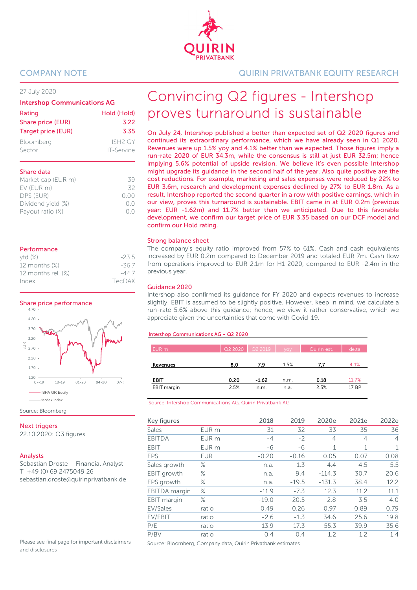#### 27 July 2020

#### Intershop Communications AG

| Rating             | Hold (Hold)         |
|--------------------|---------------------|
| Share price (EUR)  | 3.22                |
| Target price (EUR) | 3.35                |
| Bloomberg          | ISH <sub>2</sub> GY |
| Sector             | <b>IT-Service</b>   |

#### Share data

| Market cap (EUR m) | 39             |
|--------------------|----------------|
| EV (EUR m)         | 32             |
| DPS (EUR)          | 0.00           |
| Dividend yield (%) | 0 <sup>0</sup> |
| Payout ratio (%)   | 0 <sup>0</sup> |
|                    |                |

#### Performance

| ytd(%)                | $-23.5$ |
|-----------------------|---------|
| 12 months (%)         | $-367$  |
| 12 months rel. $(\%)$ | -44 7   |
| Index                 | TecDAX  |





Source: Bloomberg

#### **Next triggers**

22.10.2020: Q3 figures

#### Analysts

Sebastian Droste – Financial Analyst T +49 (0) 69 2475049 26 sebastian.droste@quirinprivatbank.de

Please see final page for important disclaimers and disclosures

## COMPANY NOTE QUIRIN PRIVATBANK EQUITY RESEARCH

# Convincing Q2 figures - Intershop proves turnaround is sustainable

On July 24, Intershop published a better than expected set of Q2 2020 figures and continued its extraordinary performance, which we have already seen in Q1 2020. Revenues were up 1.5% yoy and 4.1% better than we expected. Those figures imply a run-rate 2020 of EUR 34.3m, while the consensus is still at just EUR 32.5m; hence implying 5.6% potential of upside revision. We believe it's even possible Intershop might upgrade its guidance in the second half of the year. Also quite positive are the cost reductions. For example, marketing and sales expenses were reduced by 22% to EUR 3.6m, research and development expenses declined by 27% to EUR 1.8m. As a result, Intershop reported the second quarter in a row with positive earnings, which in our view, proves this turnaround is sustainable. EBIT came in at EUR 0.2m (previous year: EUR -1.62m) and 11.7% better than we anticipated. Due to this favorable development, we confirm our target price of EUR 3.35 based on our DCF model and confirm our Hold rating.

#### Strong balance sheet

The company's equity ratio improved from 57% to 61%. Cash and cash equivalents increased by EUR 0.2m compared to December 2019 and totaled EUR 7m. Cash flow from operations improved to EUR 2.1m for H1 2020, compared to EUR -2.4m in the previous year.

#### Guidance 2020

Intershop also confirmed its guidance for FY 2020 and expects revenues to increase slightly. EBIT is assumed to be slightly positive. However, keep in mind, we calculate a run-rate 5.6% above this guidance; hence, we view it rather conservative, which we appreciate given the uncertainties that come with Covid-19.

#### Intershop Communications AG - Q2 2020

| EUR m       |      | $Q22020$ $Q22019$ | <b>VOV</b> | Quirin est. | delta |
|-------------|------|-------------------|------------|-------------|-------|
| Revenues    | 8.0  | 7.9               | 1.5%       | 7.7         | 4.1%  |
| EBIT        | 0.20 | $-1.62$           | n.m.       | 0.18        | 11.7% |
| EBIT margin | 2.5% | n.m.              | n.a.       | 2.3%        | 17 BP |

Source: Intershop Communications AG, Quirin Privatbank AG

| Key figures        |                  | 2018    | 2019    | 2020e        | 2021e | 2022e          |
|--------------------|------------------|---------|---------|--------------|-------|----------------|
| Sales              | EUR <sub>m</sub> | 31      | 32      | 33           | 35    | 36             |
| <b>EBITDA</b>      | EUR <sub>m</sub> | $-4$    | $-2$    | 4            | 4     | $\overline{4}$ |
| <b>EBIT</b>        | EUR <sub>m</sub> | -6      | -6      | $\mathbf{1}$ | 1     | $\mathbf{1}$   |
| <b>EPS</b>         | <b>EUR</b>       | $-0.20$ | $-0.16$ | 0.05         | 0.07  | 0.08           |
| Sales growth       | ℅                | n.a.    | 1.3     | 4.4          | 4.5   | 5.5            |
| EBIT growth        | ℅                | n.a.    | 9.4     | $-114.3$     | 30.7  | 20.6           |
| EPS growth         | ℅                | n.a.    | $-19.5$ | $-131.3$     | 38.4  | 12.2           |
| EBITDA margin      | ℅                | $-11.9$ | $-7.3$  | 12.3         | 11.2  | 11.1           |
| <b>EBIT</b> margin | ℅                | $-19.0$ | $-20.5$ | 2.8          | 3.5   | 4.0            |
| EV/Sales           | ratio            | 0.49    | 0.26    | 0.97         | 0.89  | 0.79           |
| EV/EBIT            | ratio            | $-2.6$  | $-1.3$  | 34.6         | 25.6  | 19.8           |
| P/E                | ratio            | $-13.9$ | $-17.3$ | 55.3         | 39.9  | 35.6           |
| P/BV               | ratio            | 0.4     | 0.4     | 1.2          | 1.2   | 1.4            |

Source: Bloomberg, Company data, Quirin Privatbank estimates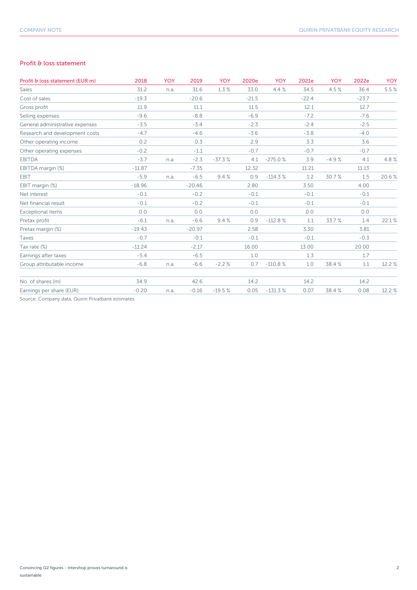### Profit & loss statement

| Profit & loss statement (EUR m)                   | 2018     | <b>YOY</b> | 2019     | YOY      | 2020e   | <b>YOY</b> | 2021e   | <b>YOY</b> | 2022e   | <b>YOY</b> |
|---------------------------------------------------|----------|------------|----------|----------|---------|------------|---------|------------|---------|------------|
| Sales                                             | 31.2     | n.a.       | 31.6     | 1.3%     | 33.0    | 4.4%       | 34.5    | 4.5%       | 36.4    | 5.5%       |
| Cost of sales                                     | $-19.3$  |            | $-20.6$  |          | $-21.5$ |            | $-22.4$ |            | $-23.7$ |            |
| Gross profit                                      | 11.9     |            | 11.1     |          | 11.5    |            | 12.1    |            | 12.7    |            |
| Selling expenses                                  | $-9.6$   |            | $-8.8$   |          | $-6.9$  |            | $-7.2$  |            | $-7.6$  |            |
| General administrative expenses                   | $-3.5$   |            | $-3.4$   |          | $-2.3$  |            | $-2.4$  |            | $-2.5$  |            |
| Research and development costs                    | $-4.7$   |            | $-4.6$   |          | $-3.6$  |            | $-3.8$  |            | $-4.0$  |            |
| Other operating income                            | 0.2      |            | 0.3      |          | 2.9     |            | 3.3     |            | 3.6     |            |
| Other operating expenses                          | $-0.2$   |            | $-1.1$   |          | $-0.7$  |            | $-0.7$  |            | $-0.7$  |            |
| <b>EBITDA</b>                                     | $-3.7$   | n.a.       | $-2.3$   | $-37.3%$ | 4.1     | $-275.0%$  | 3.9     | $-4.9%$    | 4.1     | 4.8%       |
| EBITDA margin (%)                                 | $-11.87$ |            | $-7.35$  |          | 12.32   |            | 11.21   |            | 11.13   |            |
| EBIT                                              | $-5.9$   | n.a.       | $-6.5$   | 9.4%     | 0.9     | $-114.3%$  | 1.2     | 30.7%      | 1.5     | 20.6%      |
| EBIT margin (%)                                   | $-18.96$ |            | $-20.46$ |          | 2.80    |            | 3.50    |            | 4.00    |            |
| Net interest                                      | $-0.1$   |            | $-0.2$   |          | $-0.1$  |            | $-0.1$  |            | $-0.1$  |            |
| Net financial result                              | $-0.1$   |            | $-0.2$   |          | $-0.1$  |            | $-0.1$  |            | $-0.1$  |            |
| Exceptional items                                 | 0.0      |            | 0.0      |          | 0.0     |            | 0.0     |            | 0.0     |            |
| Pretax profit                                     | $-6.1$   | n.a.       | $-6.6$   | 9.4%     | 0.9     | $-112.8%$  | 1.1     | 33.7%      | 1.4     | 22.1%      |
| Pretax margin (%)                                 | $-19.43$ |            | $-20.97$ |          | 2.58    |            | 3.30    |            | 3.81    |            |
| Taxes                                             | $-0.7$   |            | $-0.1$   |          | $-0.1$  |            | $-0.1$  |            | $-0.3$  |            |
| Tax rate (%)                                      | $-11.24$ |            | $-2.17$  |          | 16.00   |            | 13.00   |            | 20.00   |            |
| Earnings after taxes                              | $-5.4$   |            | $-6.5$   |          | 1.0     |            | 1.3     |            | 1.7     |            |
| Group attributable income                         | $-6.8$   | n.a.       | $-6.6$   | $-2.2%$  | 0.7     | $-110.8%$  | 1.0     | 38.4%      | 1.1     | 12.2 %     |
| No. of shares (m)                                 | 34.9     |            | 42.6     |          | 14.2    |            | 14.2    |            | 14.2    |            |
| Earnings per share (EUR)                          | $-0.20$  | n.a.       | $-0.16$  | $-19.5%$ | 0.05    | $-131.3%$  | 0.07    | 38.4%      | 0.08    | 12.2 %     |
| Source: Company data, Quirin Privatbank estimates |          |            |          |          |         |            |         |            |         |            |

Convincing Q2 figures - Intershop proves turnaround is sustainable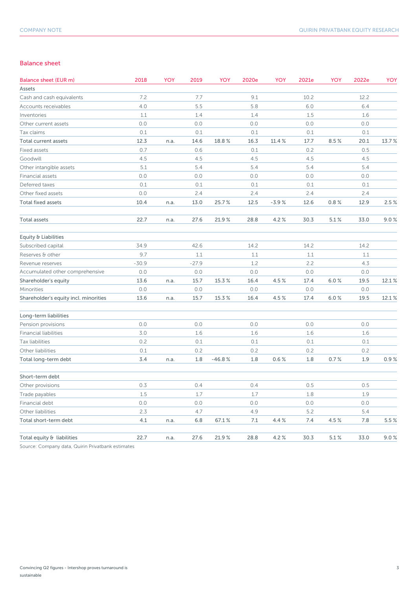#### Balance sheet

| Balance sheet (EUR m)                 | 2018    | YOY  | 2019    | <b>YOY</b> | 2020e | <b>YOY</b> | 2021e | <b>YOY</b> | 2022e | <b>YOY</b> |
|---------------------------------------|---------|------|---------|------------|-------|------------|-------|------------|-------|------------|
| Assets                                |         |      |         |            |       |            |       |            |       |            |
| Cash and cash equivalents             | 7.2     |      | 7.7     |            | 9.1   |            | 10.2  |            | 12.2  |            |
| Accounts receivables                  | 4.0     |      | 5.5     |            | 5.8   |            | 6.0   |            | 6.4   |            |
| Inventories                           | 1.1     |      | 1.4     |            | 1.4   |            | 1.5   |            | 1.6   |            |
| Other current assets                  | 0.0     |      | 0.0     |            | 0.0   |            | 0.0   |            | 0.0   |            |
| Tax claims                            | 0.1     |      | 0.1     |            | 0.1   |            | 0.1   |            | 0.1   |            |
| Total current assets                  | 12.3    | n.a. | 14.6    | 18.8%      | 16.3  | 11.4 %     | 17.7  | 8.5%       | 20.1  | 13.7%      |
| Fixed assets                          | 0.7     |      | 0.6     |            | 0.1   |            | 0.2   |            | 0.5   |            |
| Goodwill                              | 4.5     |      | 4.5     |            | 4.5   |            | 4.5   |            | 4.5   |            |
| Other intangible assets               | 5.1     |      | 5.4     |            | 5.4   |            | 5.4   |            | 5.4   |            |
| Financial assets                      | 0.0     |      | 0.0     |            | 0.0   |            | 0.0   |            | 0.0   |            |
| Deferred taxes                        | 0.1     |      | 0.1     |            | 0.1   |            | 0.1   |            | 0.1   |            |
| Other fixed assets                    | 0.0     |      | 2.4     |            | 2.4   |            | 2.4   |            | 2.4   |            |
| <b>Total fixed assets</b>             | 10.4    | n.a. | 13.0    | 25.7%      | 12.5  | $-3.9%$    | 12.6  | 0.8%       | 12.9  | 2.5%       |
| <b>Total assets</b>                   | 22.7    | n.a. | 27.6    | 21.9%      | 28.8  | 4.2%       | 30.3  | 5.1%       | 33.0  | 9.0%       |
| Equity & Liabilities                  |         |      |         |            |       |            |       |            |       |            |
| Subscribed capital                    | 34.9    |      | 42.6    |            | 14.2  |            | 14.2  |            | 14.2  |            |
| Reserves & other                      | 9.7     |      | 1.1     |            | 1.1   |            | 1.1   |            | 1.1   |            |
| Revenue reserves                      | $-30.9$ |      | $-27.9$ |            | 1.2   |            | 2.2   |            | 4.3   |            |
| Accumulated other comprehensive       | 0.0     |      | 0.0     |            | 0.0   |            | 0.0   |            | 0.0   |            |
| Shareholder's equity                  | 13.6    | n.a. | 15.7    | 15.3%      | 16.4  | 4.5%       | 17.4  | 6.0%       | 19.5  | 12.1%      |
| Minorities                            | 0.0     |      | 0.0     |            | 0.0   |            | 0.0   |            | 0.0   |            |
| Shareholder's equity incl. minorities | 13.6    | n.a. | 15.7    | 15.3%      | 16.4  | 4.5%       | 17.4  | 6.0%       | 19.5  | 12.1%      |
| Long-term liabilities                 |         |      |         |            |       |            |       |            |       |            |
| Pension provisions                    | 0.0     |      | 0.0     |            | 0.0   |            | 0.0   |            | 0.0   |            |
| <b>Financial liabilities</b>          | 3.0     |      | 1.6     |            | 1.6   |            | 1.6   |            | 1.6   |            |
| Tax liabilities                       | 0.2     |      | 0.1     |            | 0.1   |            | 0.1   |            | 0.1   |            |
| Other liabilities                     | 0.1     |      | 0.2     |            | 0.2   |            | 0.2   |            | 0.2   |            |
| Total long-term debt                  | 3.4     | n.a. | 1.8     | $-46.8%$   | 1.8   | 0.6%       | 1.8   | 0.7 %      | 1.9   | 0.9%       |
| Short-term debt                       |         |      |         |            |       |            |       |            |       |            |
| Other provisions                      | 0.3     |      | 0.4     |            | 0.4   |            | 0.5   |            | 0.5   |            |
| Trade payables                        | 1.5     |      | 1.7     |            | 1.7   |            | 1.8   |            | 1.9   |            |
| Financial debt                        | 0.0     |      | 0.0     |            | 0.0   |            | 0.0   |            | 0.0   |            |
| Other liabilities                     | 2.3     |      | 4.7     |            | 4.9   |            | 5.2   |            | 5.4   |            |
| Total short-term debt                 | 4.1     | n.a. | 6.8     | 67.1%      | 7.1   | 4.4 %      | 7.4   | 4.5%       | 7.8   | 5.5 %      |
| Total equity & liabilities            | 22.7    | n.a. | 27.6    | 21.9%      | 28.8  | 4.2%       | 30.3  | 5.1%       | 33.0  | 9.0%       |

Source: Company data, Quirin Privatbank estimates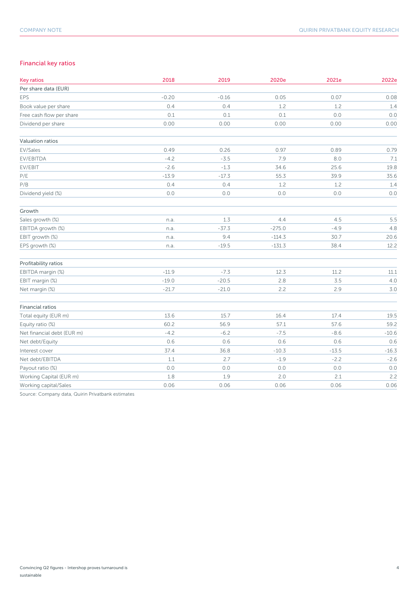### Financial key ratios

| <b>Key ratios</b>          | 2018    | 2019    | 2020e    | 2021e   | 2022e   |
|----------------------------|---------|---------|----------|---------|---------|
| Per share data (EUR)       |         |         |          |         |         |
| EPS                        | $-0.20$ | $-0.16$ | 0.05     | 0.07    | 0.08    |
| Book value per share       | 0.4     | 0.4     | 1.2      | 1.2     | 1.4     |
| Free cash flow per share   | 0.1     | 0.1     | 0.1      | $0.0\,$ | 0.0     |
| Dividend per share         | 0.00    | 0.00    | 0.00     | 0.00    | 0.00    |
| Valuation ratios           |         |         |          |         |         |
| EV/Sales                   | 0.49    | 0.26    | 0.97     | 0.89    | 0.79    |
| EV/EBITDA                  | $-4.2$  | $-3.5$  | 7.9      | 8.0     | 7.1     |
| EV/EBIT                    | $-2.6$  | $-1.3$  | 34.6     | 25.6    | 19.8    |
| P/E                        | $-13.9$ | $-17.3$ | 55.3     | 39.9    | 35.6    |
| P/B                        | 0.4     | 0.4     | 1.2      | 1.2     | 1.4     |
| Dividend yield (%)         | $0.0$   | 0.0     | $0.0$    | 0.0     | 0.0     |
| Growth                     |         |         |          |         |         |
| Sales growth (%)           | n.a.    | 1.3     | 4.4      | 4.5     | 5.5     |
| EBITDA growth (%)          | n.a.    | $-37.3$ | $-275.0$ | $-4.9$  | 4.8     |
| EBIT growth (%)            | n.a.    | 9.4     | $-114.3$ | 30.7    | 20.6    |
| EPS growth (%)             | n.a.    | $-19.5$ | $-131.3$ | 38.4    | 12.2    |
| Profitability ratios       |         |         |          |         |         |
| EBITDA margin (%)          | $-11.9$ | $-7.3$  | 12.3     | 11.2    | 11.1    |
| EBIT margin (%)            | $-19.0$ | $-20.5$ | 2.8      | 3.5     | 4.0     |
| Net margin (%)             | $-21.7$ | $-21.0$ | 2.2      | 2.9     | 3.0     |
| Financial ratios           |         |         |          |         |         |
| Total equity (EUR m)       | 13.6    | 15.7    | 16.4     | 17.4    | 19.5    |
| Equity ratio (%)           | 60.2    | 56.9    | 57.1     | 57.6    | 59.2    |
| Net financial debt (EUR m) | $-4.2$  | $-6.2$  | $-7.5$   | $-8.6$  | $-10.6$ |
| Net debt/Equity            | 0.6     | 0.6     | 0.6      | 0.6     | 0.6     |
| Interest cover             | 37.4    | 36.8    | $-10.3$  | $-13.5$ | $-16.3$ |
| Net debt/EBITDA            | 1.1     | 2.7     | $-1.9$   | $-2.2$  | $-2.6$  |
| Payout ratio (%)           | 0.0     | $0.0$   | 0.0      | 0.0     | 0.0     |
| Working Capital (EUR m)    | $1.8\,$ | 1.9     | 2.0      | 2.1     | 2.2     |
| Working capital/Sales      | 0.06    | 0.06    | 0.06     | 0.06    | 0.06    |

Source: Company data, Quirin Privatbank estimates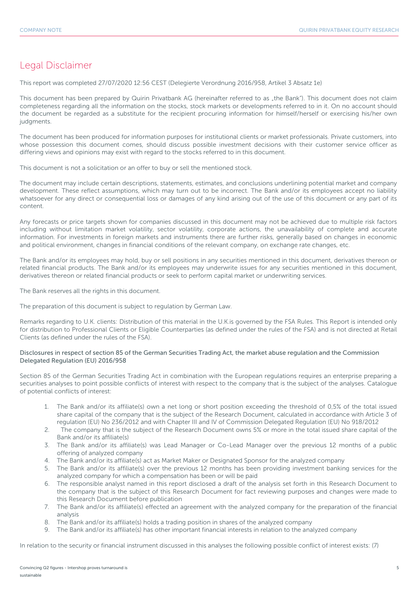## Legal Disclaimer

This report was completed 27/07/2020 12:56 CEST (Delegierte Verordnung 2016/958, Artikel 3 Absatz 1e)

This document has been prepared by Quirin Privatbank AG (hereinafter referred to as "the Bank"). This document does not claim completeness regarding all the information on the stocks, stock markets or developments referred to in it. On no account should the document be regarded as a substitute for the recipient procuring information for himself/herself or exercising his/her own judgments.

The document has been produced for information purposes for institutional clients or market professionals. Private customers, into whose possession this document comes, should discuss possible investment decisions with their customer service officer as differing views and opinions may exist with regard to the stocks referred to in this document.

This document is not a solicitation or an offer to buy or sell the mentioned stock.

The document may include certain descriptions, statements, estimates, and conclusions underlining potential market and company development. These reflect assumptions, which may turn out to be incorrect. The Bank and/or its employees accept no liability whatsoever for any direct or consequential loss or damages of any kind arising out of the use of this document or any part of its content.

Any forecasts or price targets shown for companies discussed in this document may not be achieved due to multiple risk factors including without limitation market volatility, sector volatility, corporate actions, the unavailability of complete and accurate information. For investments in foreign markets and instruments there are further risks, generally based on changes in economic and political environment, changes in financial conditions of the relevant company, on exchange rate changes, etc.

The Bank and/or its employees may hold, buy or sell positions in any securities mentioned in this document, derivatives thereon or related financial products. The Bank and/or its employees may underwrite issues for any securities mentioned in this document, derivatives thereon or related financial products or seek to perform capital market or underwriting services.

The Bank reserves all the rights in this document.

The preparation of this document is subject to regulation by German Law.

Remarks regarding to U.K. clients: Distribution of this material in the U.K.is governed by the FSA Rules. This Report is intended only for distribution to Professional Clients or Eligible Counterparties (as defined under the rules of the FSA) and is not directed at Retail Clients (as defined under the rules of the FSA).

#### Disclosures in respect of section 85 of the German Securities Trading Act, the market abuse regulation and the Commission Delegated Regulation (EU) 2016/958

Section 85 of the German Securities Trading Act in combination with the European regulations requires an enterprise preparing a securities analyses to point possible conflicts of interest with respect to the company that is the subject of the analyses. Catalogue of potential conflicts of interest:

- 1. The Bank and/or its affiliate(s) own a net long or short position exceeding the threshold of 0,5% of the total issued share capital of the company that is the subject of the Research Document, calculated in accordance with Article 3 of regulation (EU) No 236/2012 and with Chapter III and IV of Commission Delegated Regulation (EU) No 918/2012
- 2. The company that is the subject of the Research Document owns 5% or more in the total issued share capital of the Bank and/or its affiliate(s)
- 3. The Bank and/or its affiliate(s) was Lead Manager or Co-Lead Manager over the previous 12 months of a public offering of analyzed company
- 4. The Bank and/or its affiliate(s) act as Market Maker or Designated Sponsor for the analyzed company
- 5. The Bank and/or its affiliate(s) over the previous 12 months has been providing investment banking services for the analyzed company for which a compensation has been or will be paid
- 6. The responsible analyst named in this report disclosed a draft of the analysis set forth in this Research Document to the company that is the subject of this Research Document for fact reviewing purposes and changes were made to this Research Document before publication
- 7. The Bank and/or its affiliate(s) effected an agreement with the analyzed company for the preparation of the financial analysis
- 8. The Bank and/or its affiliate(s) holds a trading position in shares of the analyzed company
- 9. The Bank and/or its affiliate(s) has other important financial interests in relation to the analyzed company

In relation to the security or financial instrument discussed in this analyses the following possible conflict of interest exists: (7)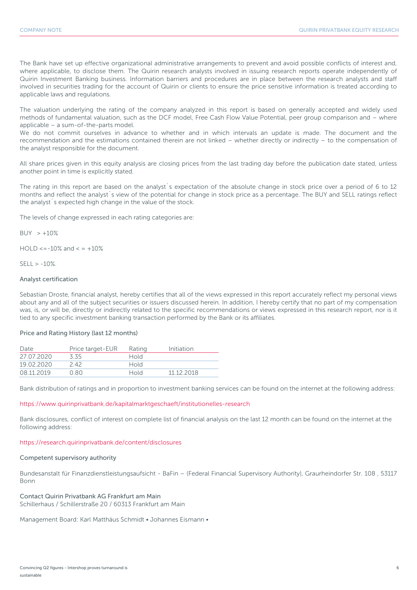The Bank have set up effective organizational administrative arrangements to prevent and avoid possible conflicts of interest and, where applicable, to disclose them. The Quirin research analysts involved in issuing research reports operate independently of Quirin Investment Banking business. Information barriers and procedures are in place between the research analysts and staff involved in securities trading for the account of Quirin or clients to ensure the price sensitive information is treated according to applicable laws and regulations.

The valuation underlying the rating of the company analyzed in this report is based on generally accepted and widely used methods of fundamental valuation, such as the DCF model, Free Cash Flow Value Potential, peer group comparison and – where applicable – a sum-of-the-parts model.

We do not commit ourselves in advance to whether and in which intervals an update is made. The document and the recommendation and the estimations contained therein are not linked – whether directly or indirectly – to the compensation of the analyst responsible for the document.

All share prices given in this equity analysis are closing prices from the last trading day before the publication date stated, unless another point in time is explicitly stated.

The rating in this report are based on the analyst´s expectation of the absolute change in stock price over a period of 6 to 12 months and reflect the analyst´s view of the potential for change in stock price as a percentage. The BUY and SELL ratings reflect the analyst´s expected high change in the value of the stock.

The levels of change expressed in each rating categories are:

 $BUY > +10%$ 

 $HOLD \le -10\%$  and  $\le +10\%$ 

 $SFII > -10%$ 

#### Analyst certification

Sebastian Droste, financial analyst, hereby certifies that all of the views expressed in this report accurately reflect my personal views about any and all of the subject securities or issuers discussed herein. In addition, I hereby certify that no part of my compensation was, is, or will be, directly or indirectly related to the specific recommendations or views expressed in this research report, nor is it tied to any specific investment banking transaction performed by the Bank or its affiliates.

#### Price and Rating History (last 12 months)

| Date       | Price target-EUR | Rating      | Initiation |
|------------|------------------|-------------|------------|
| 27 07 2020 | 3.35             | <b>Hold</b> |            |
| 19.02.2020 | 2 42             | <b>Hold</b> |            |
| 08.11.2019 | N 80             | <b>Hold</b> | 11 12 2018 |

Bank distribution of ratings and in proportion to investment banking services can be found on the internet at the following address:

#### https://www.quirinprivatbank.de/kapitalmarktgeschaeft/institutionelles-research

Bank disclosures, conflict of interest on complete list of financial analysis on the last 12 month can be found on the internet at the following address:

#### https://research.quirinprivatbank.de/content/disclosures

#### Competent supervisory authority

Bundesanstalt für Finanzdienstleistungsaufsicht - BaFin – (Federal Financial Supervisory Authority), Graurheindorfer Str. 108 , 53117 Bonn

#### Contact Quirin Privatbank AG Frankfurt am Main

Schillerhaus / Schillerstraße 20 / 60313 Frankfurt am Main

Management Board: Karl Matthäus Schmidt • Johannes Eismann •